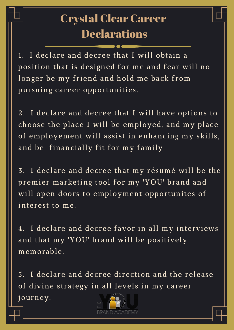1. I declare and decree that I will obtain a position that is designed for me and fear will no longer be my friend and hold me back from pursuing career opportunities.

2. I declare and decree that I will have options to choose the place I will be employed, and my place of employement will assist in enhancing my skills, and be financially fit for my family.

3. I declare and decree that my résumé will be the

premier marketing tool for my 'YOU' brand and will open doors to employment opportunites of interest to me.

4. I declare and decree favor in all my interviews and that my 'YOU' brand will be positively memorable.

5. I declare and decree direction and the release of divine strategy in all levels in my career journey.



## Crystal Clear Career Declarations